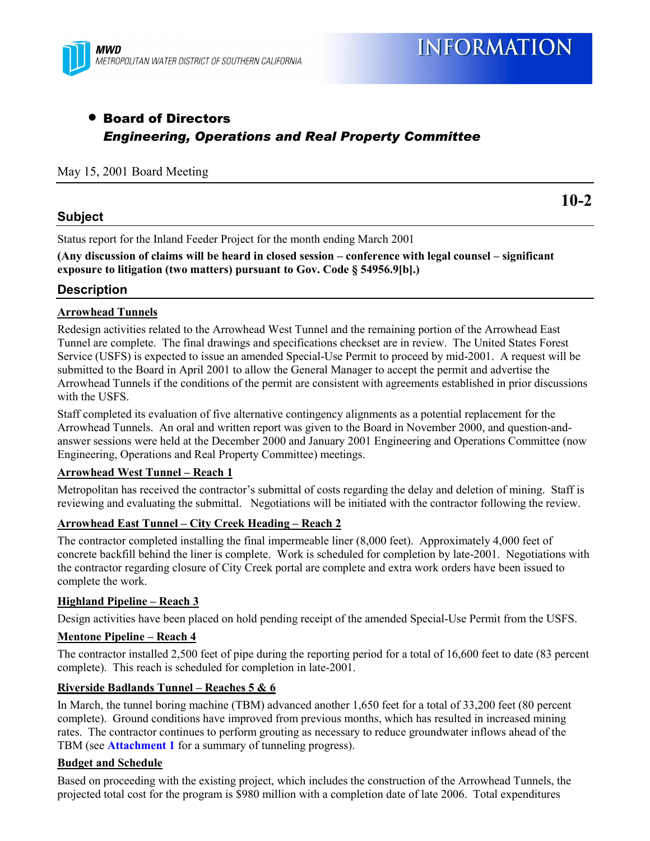

**10-2**

### • Board of Directors *Engineering, Operations and Real Property Committee*

#### May 15, 2001 Board Meeting

#### **Subject**

Status report for the Inland Feeder Project for the month ending March 2001

(Any discussion of claims will be heard in closed session – conference with legal counsel – significant **exposure to litigation (two matters) pursuant to Gov. Code ß 54956.9[b].)**

#### **Description**

#### **Arrowhead Tunnels**

Redesign activities related to the Arrowhead West Tunnel and the remaining portion of the Arrowhead East Tunnel are complete. The final drawings and specifications checkset are in review. The United States Forest Service (USFS) is expected to issue an amended Special-Use Permit to proceed by mid-2001. A request will be submitted to the Board in April 2001 to allow the General Manager to accept the permit and advertise the Arrowhead Tunnels if the conditions of the permit are consistent with agreements established in prior discussions with the USFS.

Staff completed its evaluation of five alternative contingency alignments as a potential replacement for the Arrowhead Tunnels. An oral and written report was given to the Board in November 2000, and question-andanswer sessions were held at the December 2000 and January 2001 Engineering and Operations Committee (now Engineering, Operations and Real Property Committee) meetings.

#### **Arrowhead West Tunnel - Reach 1**

Metropolitan has received the contractor's submittal of costs regarding the delay and deletion of mining. Staff is reviewing and evaluating the submittal. Negotiations will be initiated with the contractor following the review.

#### Arrowhead East Tunnel – City Creek Heading – Reach 2

The contractor completed installing the final impermeable liner (8,000 feet). Approximately 4,000 feet of concrete backfill behind the liner is complete. Work is scheduled for completion by late-2001. Negotiations with the contractor regarding closure of City Creek portal are complete and extra work orders have been issued to complete the work.

#### **Highland Pipeline – Reach 3**

Design activities have been placed on hold pending receipt of the amended Special-Use Permit from the USFS.

#### **Mentone Pipeline – Reach 4**

The contractor installed 2,500 feet of pipe during the reporting period for a total of 16,600 feet to date (83 percent complete). This reach is scheduled for completion in late-2001.

#### **Riverside Badlands Tunnel - Reaches 5 & 6**

In March, the tunnel boring machine (TBM) advanced another 1,650 feet for a total of 33,200 feet (80 percent complete). Ground conditions have improved from previous months, which has resulted in increased mining rates. The contractor continues to perform grouting as necessary to reduce groundwater inflows ahead of the TBM (see **Attachment 1** for a summary of tunneling progress).

#### **Budget and Schedule**

Based on proceeding with the existing project, which includes the construction of the Arrowhead Tunnels, the projected total cost for the program is \$980 million with a completion date of late 2006. Total expenditures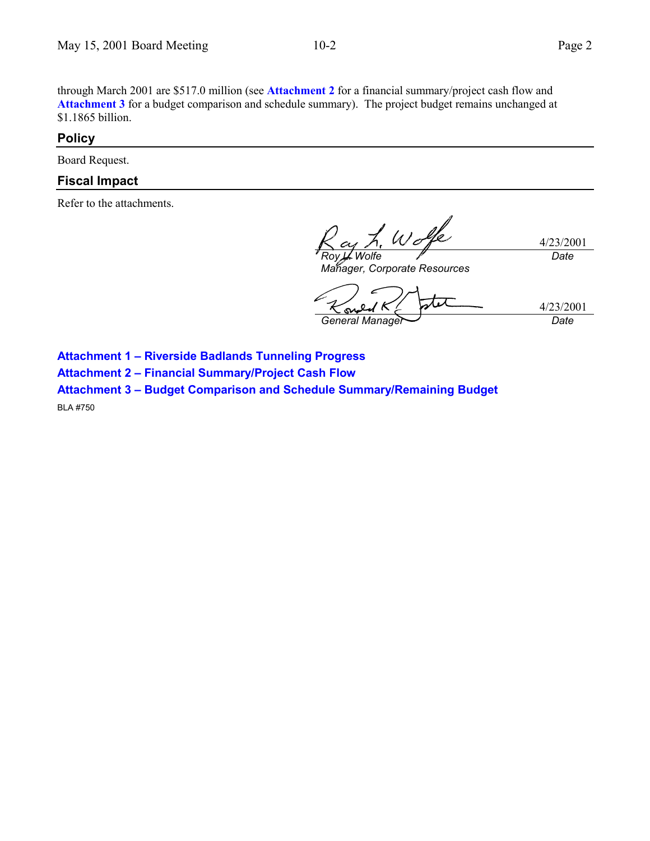through March 2001 are \$517.0 million (see **Attachment 2** for a financial summary/project cash flow and **Attachment 3** for a budget comparison and schedule summary). The project budget remains unchanged at \$1.1865 billion.

#### **Policy**

Board Request.

#### **Fiscal Impact**

Refer to the attachments.

Wolfe 4/23/2001 *Roy L. Wolfe Date*

*Manager, Corporate Resources*

4/23/2001 *General Manager Date*

**Attachment 1 - Riverside Badlands Tunneling Progress** 

**Attachment 2 - Financial Summary/Project Cash Flow** 

**Attachment 3 - Budget Comparison and Schedule Summary/Remaining Budget** 

BLA #750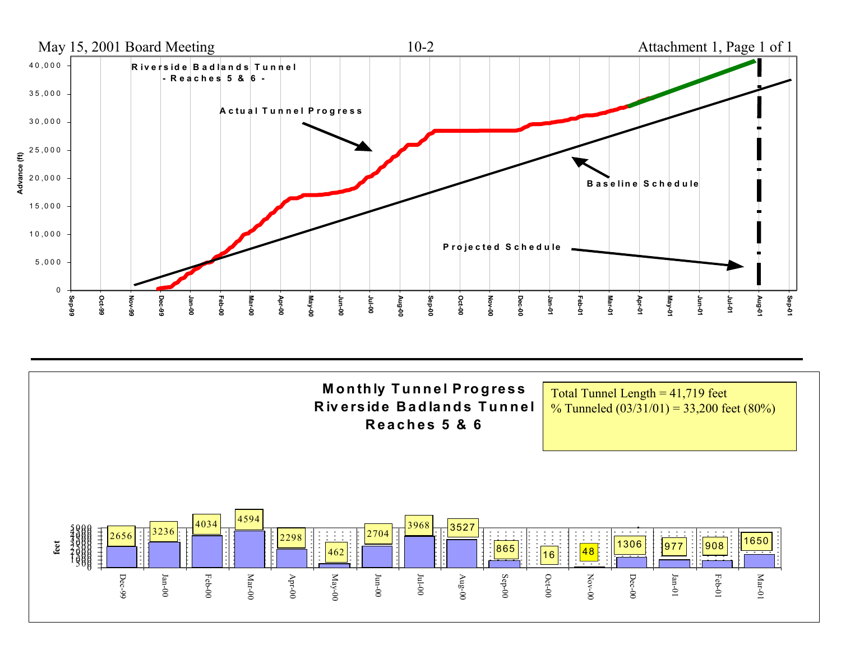

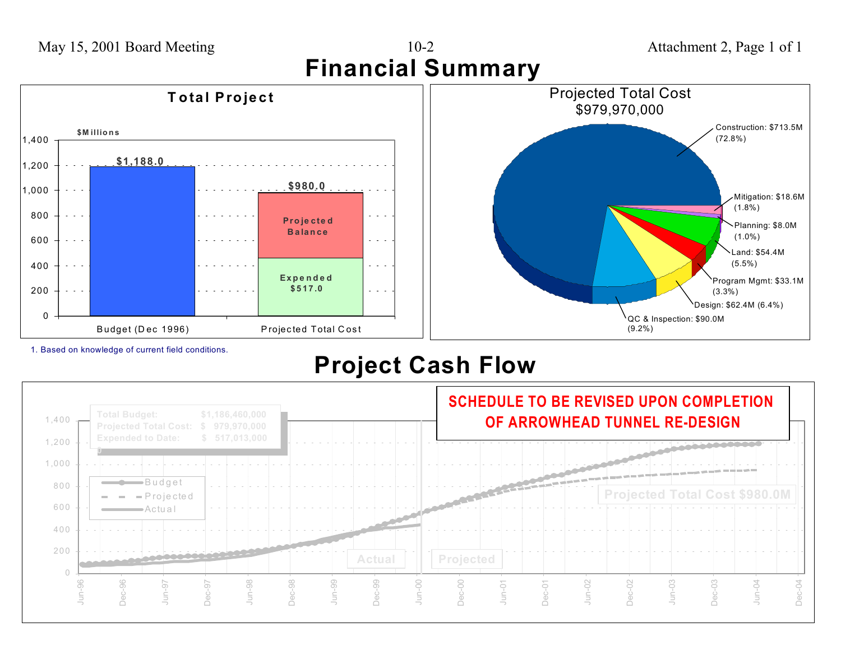

1. Based on knowledge of current field conditions.

# **Project Cash Flow**